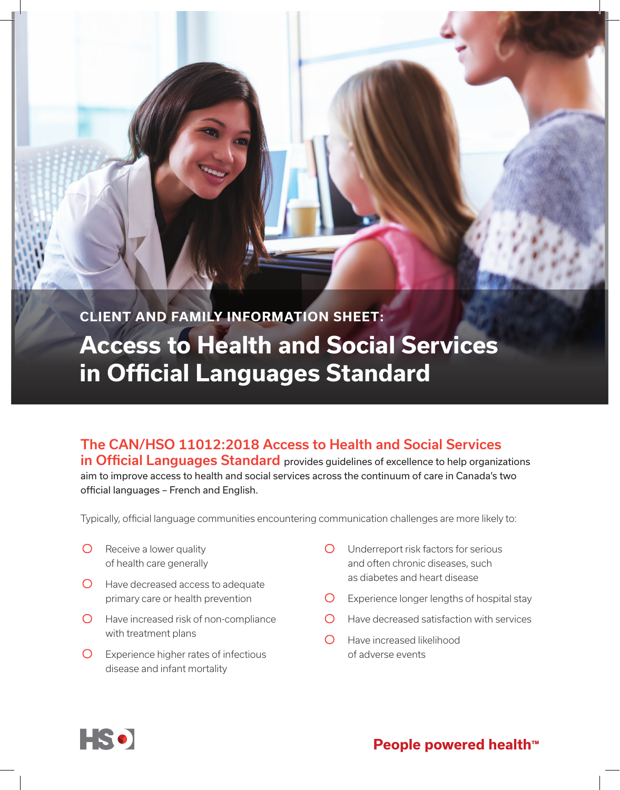

## The CAN/HSO 11012:2018 Access to Health and Social Services

in Official Languages Standard provides guidelines of excellence to help organizations aim to improve access to health and social services across the continuum of care in Canada's two official languages – French and English.

Typically, official language communities encountering communication challenges are more likely to:

- $\bigcirc$  Receive a lower quality of health care generally
- O Have decreased access to adequate primary care or health prevention
- O Have increased risk of non-compliance with treatment plans
- Experience higher rates of infectious disease and infant mortality
- Underreport risk factors for serious and often chronic diseases, such as diabetes and heart disease
- Experience longer lengths of hospital stay
- $\bigcirc$ Have decreased satisfaction with services
- $\bigcirc$ Have increased likelihood of adverse events



**People powered health™**